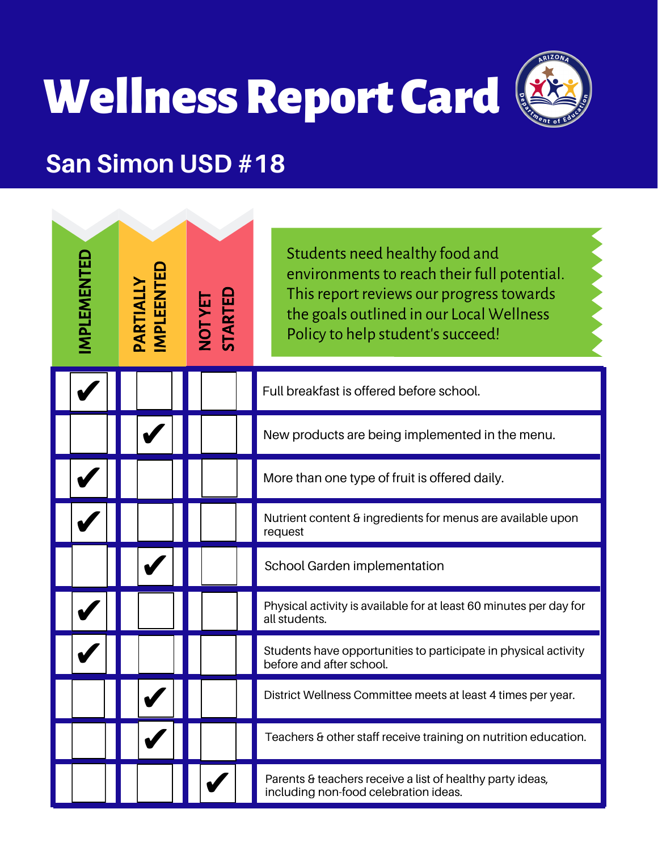# **Wellness Report Card**



#### **San Simon USD #18**